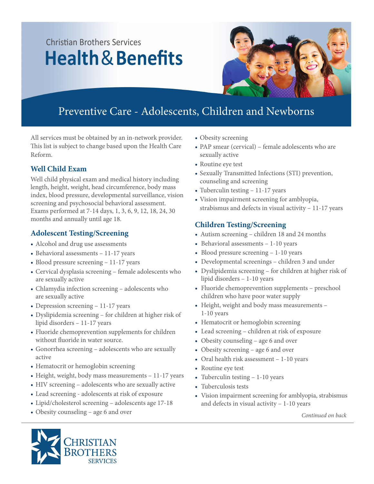# Christian Brothers Services **Health**&**Benefits**



### Preventive Care - Adolescents, Children and Newborns

All services must be obtained by an in-network provider. This list is subject to change based upon the Health Care Reform.

### **Well Child Exam**

Well child physical exam and medical history including length, height, weight, head circumference, body mass index, blood pressure, developmental surveillance, vision screening and psychosocial behavioral assessment. Exams performed at 7-14 days, 1, 3, 6, 9, 12, 18, 24, 30 months and annually until age 18.

### **Adolescent Testing/Screening**

- Alcohol and drug use assessments
- Behavioral assessments 11-17 years
- Blood pressure screening 11-17 years
- Cervical dysplasia screening female adolescents who are sexually active
- Chlamydia infection screening adolescents who are sexually active
- Depression screening 11-17 years
- Dyslipidemia screening for children at higher risk of lipid disorders – 11-17 years
- Fluoride chemoprevention supplements for children without fluoride in water source.
- Gonorrhea screening adolescents who are sexually active
- Hematocrit or hemoglobin screening
- Height, weight, body mass measurements 11-17 years
- HIV screening adolescents who are sexually active
- Lead screening adolescents at risk of exposure
- Lipid/cholesterol screening adolescents age 17-18
- Obesity counseling age 6 and over
- Obesity screening
- PAP smear (cervical) female adolescents who are sexually active
- Routine eye test
- Sexually Transmitted Infections (STI) prevention, counseling and screening
- Tuberculin testing 11-17 years
- Vision impairment screening for amblyopia, strabismus and defects in visual activity – 11-17 years

### **Children Testing/Screening**

- Autism screening children 18 and 24 months
- Behavioral assessments 1-10 years
- Blood pressure screening 1-10 years
- Developmental screenings children 3 and under
- Dyslipidemia screening for children at higher risk of lipid disorders – 1-10 years
- Fluoride chemoprevention supplements preschool children who have poor water supply
- Height, weight and body mass measurements 1-10 years
- Hematocrit or hemoglobin screening
- Lead screening children at risk of exposure
- Obesity counseling age 6 and over
- Obesity screening age 6 and over
- Oral health risk assessment 1-10 years
- Routine eye test
- Tuberculin testing 1-10 years
- Tuberculosis tests
- Vision impairment screening for amblyopia, strabismus and defects in visual activity – 1-10 years

*Continued on back*